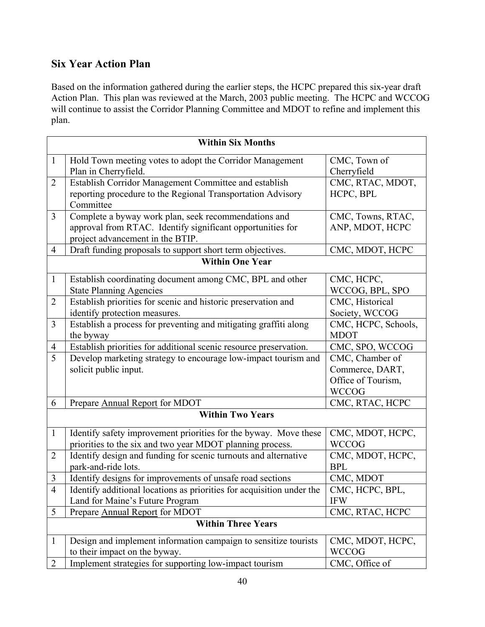## Six Year Action Plan

Based on the information gathered during the earlier steps, the HCPC prepared this six-year draft Action Plan. This plan was reviewed at the March, 2003 public meeting. The HCPC and WCCOG will continue to assist the Corridor Planning Committee and MDOT to refine and implement this plan.

| <b>Within Six Months</b>  |                                                                       |                     |  |
|---------------------------|-----------------------------------------------------------------------|---------------------|--|
| $\mathbf{1}$              | Hold Town meeting votes to adopt the Corridor Management              | CMC, Town of        |  |
|                           | Plan in Cherryfield.                                                  | Cherryfield         |  |
| $\overline{2}$            | Establish Corridor Management Committee and establish                 | CMC, RTAC, MDOT,    |  |
|                           | reporting procedure to the Regional Transportation Advisory           | HCPC, BPL           |  |
|                           | Committee                                                             |                     |  |
| $\overline{3}$            | Complete a byway work plan, seek recommendations and                  | CMC, Towns, RTAC,   |  |
|                           | approval from RTAC. Identify significant opportunities for            | ANP, MDOT, HCPC     |  |
|                           | project advancement in the BTIP.                                      |                     |  |
| 4                         | Draft funding proposals to support short term objectives.             | CMC, MDOT, HCPC     |  |
| <b>Within One Year</b>    |                                                                       |                     |  |
| $\mathbf{1}$              | Establish coordinating document among CMC, BPL and other              | CMC, HCPC,          |  |
|                           | <b>State Planning Agencies</b>                                        | WCCOG, BPL, SPO     |  |
| $\overline{2}$            | Establish priorities for scenic and historic preservation and         | CMC, Historical     |  |
|                           | identify protection measures.                                         | Society, WCCOG      |  |
| 3                         | Establish a process for preventing and mitigating graffiti along      | CMC, HCPC, Schools, |  |
|                           | the byway                                                             | <b>MDOT</b>         |  |
| 4                         | Establish priorities for additional scenic resource preservation.     | CMC, SPO, WCCOG     |  |
| 5                         | Develop marketing strategy to encourage low-impact tourism and        | CMC, Chamber of     |  |
|                           | solicit public input.                                                 | Commerce, DART,     |  |
|                           |                                                                       | Office of Tourism,  |  |
|                           |                                                                       | <b>WCCOG</b>        |  |
| 6                         | Prepare Annual Report for MDOT                                        | CMC, RTAC, HCPC     |  |
| <b>Within Two Years</b>   |                                                                       |                     |  |
| $\mathbf{1}$              | Identify safety improvement priorities for the byway. Move these      | CMC, MDOT, HCPC,    |  |
|                           | priorities to the six and two year MDOT planning process.             | <b>WCCOG</b>        |  |
| $\overline{2}$            | Identify design and funding for scenic turnouts and alternative       | CMC, MDOT, HCPC,    |  |
|                           | park-and-ride lots.                                                   | <b>BPL</b>          |  |
| 3                         | Identify designs for improvements of unsafe road sections             | CMC, MDOT           |  |
| 4                         | Identify additional locations as priorities for acquisition under the | CMC, HCPC, BPL,     |  |
|                           | Land for Maine's Future Program                                       | <b>IFW</b>          |  |
| 5                         | Prepare Annual Report for MDOT                                        | CMC, RTAC, HCPC     |  |
| <b>Within Three Years</b> |                                                                       |                     |  |
| $\mathbf{1}$              | Design and implement information campaign to sensitize tourists       | CMC, MDOT, HCPC,    |  |
|                           | to their impact on the byway.                                         | <b>WCCOG</b>        |  |
| $\overline{2}$            | Implement strategies for supporting low-impact tourism                | CMC, Office of      |  |